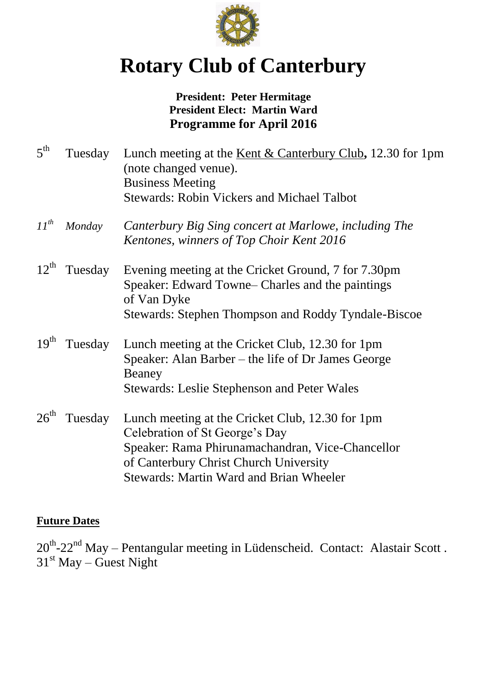

# **Rotary Club of Canterbury**

#### **President: Peter Hermitage President Elect: Martin Ward Programme for April 2016**

| $5^{\text{th}}$  | Tuesday | Lunch meeting at the <u>Kent <math>\&amp;</math> Canterbury Club</u> , 12.30 for 1pm<br>(note changed venue).<br><b>Business Meeting</b><br><b>Stewards: Robin Vickers and Michael Talbot</b>                                      |
|------------------|---------|------------------------------------------------------------------------------------------------------------------------------------------------------------------------------------------------------------------------------------|
| $11^{th}$        | Monday  | Canterbury Big Sing concert at Marlowe, including The<br>Kentones, winners of Top Choir Kent 2016                                                                                                                                  |
| $12^{\text{th}}$ | Tuesday | Evening meeting at the Cricket Ground, 7 for 7.30pm<br>Speaker: Edward Towne– Charles and the paintings<br>of Van Dyke<br>Stewards: Stephen Thompson and Roddy Tyndale-Biscoe                                                      |
| 19 <sup>th</sup> | Tuesday | Lunch meeting at the Cricket Club, 12.30 for 1pm<br>Speaker: Alan Barber – the life of Dr James George<br>Beaney<br>Stewards: Leslie Stephenson and Peter Wales                                                                    |
| $26^{\text{th}}$ | Tuesday | Lunch meeting at the Cricket Club, 12.30 for 1pm<br>Celebration of St George's Day<br>Speaker: Rama Phirunamachandran, Vice-Chancellor<br>of Canterbury Christ Church University<br><b>Stewards: Martin Ward and Brian Wheeler</b> |

#### **Future Dates**

 $20^{th}$ - $22^{nd}$  May – Pentangular meeting in Lüdenscheid. Contact: Alastair Scott.  $31<sup>st</sup>$  May – Guest Night